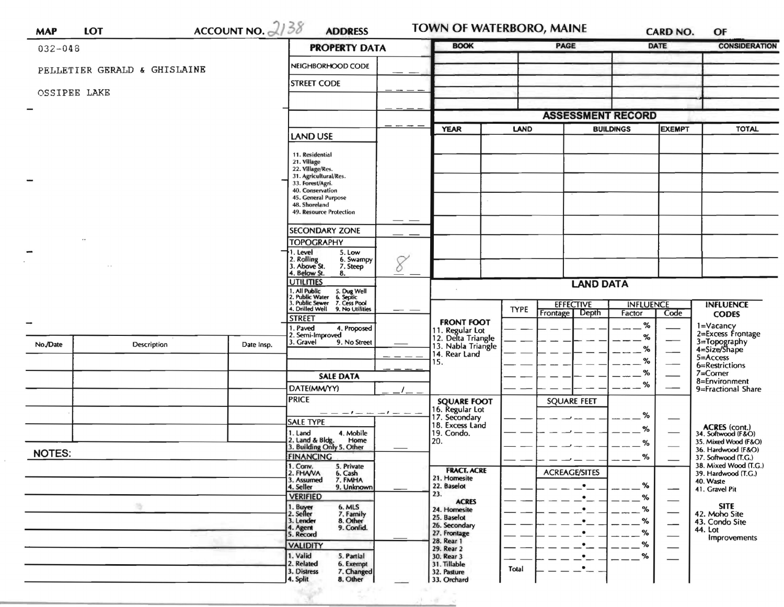| <b>MAP</b>    | ACCOUNT NO. $2/38$<br><b>LOT</b> |            | <b>ADDRESS</b><br><b>BOOK</b><br><b>PROPERTY DATA</b>                                                                                                                                                                                                                                                                                        |                                                                                     | <b>PAGE</b>                     |                          | <b>DATE</b>      |               | OF<br><b>CONSIDERATION</b>                                        |
|---------------|----------------------------------|------------|----------------------------------------------------------------------------------------------------------------------------------------------------------------------------------------------------------------------------------------------------------------------------------------------------------------------------------------------|-------------------------------------------------------------------------------------|---------------------------------|--------------------------|------------------|---------------|-------------------------------------------------------------------|
| $032 - 048$   |                                  |            |                                                                                                                                                                                                                                                                                                                                              |                                                                                     |                                 |                          |                  |               |                                                                   |
|               | PELLETIER GERALD & GHISLAINE     |            | NEIGHBORHOOD CODE                                                                                                                                                                                                                                                                                                                            |                                                                                     |                                 |                          |                  |               |                                                                   |
| OSSIPEE LAKE  |                                  |            | <b>STREET CODE</b>                                                                                                                                                                                                                                                                                                                           |                                                                                     |                                 |                          |                  |               |                                                                   |
|               |                                  |            |                                                                                                                                                                                                                                                                                                                                              |                                                                                     |                                 |                          |                  |               |                                                                   |
|               |                                  |            |                                                                                                                                                                                                                                                                                                                                              |                                                                                     |                                 | <b>ASSESSMENT RECORD</b> |                  |               |                                                                   |
|               |                                  |            | <b>LAND USE</b>                                                                                                                                                                                                                                                                                                                              | <b>YEAR</b>                                                                         | LAND                            |                          | <b>BUILDINGS</b> | <b>EXEMPT</b> | <b>TOTAL</b>                                                      |
|               |                                  |            | 11. Residential<br>21. Village<br>22. Village/Res.<br>31. Agricultural/Res.<br>33. Forest/Agri.<br>40. Conservation<br>45. General Purpose<br>48. Shoreland<br>49. Resource Protection<br><b>SECONDARY ZONE</b><br><b>TOPOGRAPHY</b><br>1. Level<br>5. Low<br>2. Rolling<br>3. Above St.<br>6. Swampy<br>8<br>7. Steep<br>4. Below St.<br>8. |                                                                                     |                                 |                          |                  |               |                                                                   |
|               |                                  |            | <b>UTILITIES</b>                                                                                                                                                                                                                                                                                                                             |                                                                                     |                                 | <b>LAND DATA</b>         |                  |               |                                                                   |
|               |                                  |            | . All Public<br>?. Public Water<br>!. Public Sewer<br>5. Dug Well<br>6. Septic<br>7. Cess Pool<br>. Drilled Well<br>9. No Utilities                                                                                                                                                                                                          |                                                                                     | <b>EFFECTIVE</b><br><b>TYPE</b> |                          | <b>INFLUENCE</b> |               | <b>INFLUENCE</b>                                                  |
|               |                                  |            | <b>STREET</b><br>1. Paved<br>4. Proposed                                                                                                                                                                                                                                                                                                     | <b>FRONT FOOT</b>                                                                   |                                 | Frontage Depth           | Factor<br>$\%$   | Code          | <b>CODES</b><br>1=Vacancy                                         |
| No./Date      | Description                      | Date Insp. | 2. Semi-Improved<br>3. Gravel<br>9. No Street                                                                                                                                                                                                                                                                                                | 11. Regular Lot<br>12. Delta Triangle<br>13. Nabla Triangle<br>14. Rear Land<br>15. |                                 |                          | %<br>℅<br>%      |               | 2=Excess Frontage<br>3=Topography<br>4=Size/Shape<br>$5 =$ Access |
|               |                                  |            | <b>SALE DATA</b>                                                                                                                                                                                                                                                                                                                             |                                                                                     |                                 |                          | %                |               | 6=Restrictions<br>$7 =$ Corner                                    |
|               |                                  |            | DATE(MM/YY)                                                                                                                                                                                                                                                                                                                                  |                                                                                     |                                 |                          | %                |               | 8=Environment<br>9=Fractional Share                               |
|               |                                  |            | <b>PRICE</b><br>$-1 - - -1 - -$                                                                                                                                                                                                                                                                                                              | <b>SQUARE FOOT</b><br>16. Regular Lot<br>17. Secondary                              |                                 | <b>SQUARE FEET</b>       | %                |               |                                                                   |
|               |                                  |            | <b>SALE TYPE</b><br>1. Land<br>4. Mobile                                                                                                                                                                                                                                                                                                     | 18. Excess Land<br>19. Condo.                                                       |                                 |                          | %                |               | ACRES (cont.)<br>34. Softwood (F&O)                               |
|               |                                  |            | 2. Land & Bldg. Home<br>3. Building Only 5. Other<br>Home                                                                                                                                                                                                                                                                                    | 20.                                                                                 |                                 |                          | %                |               | 35. Mixed Wood (F&O)<br>36. Hardwood (F&O)                        |
| <b>NOTES:</b> |                                  |            | <b>FINANCING</b>                                                                                                                                                                                                                                                                                                                             |                                                                                     |                                 |                          | %                |               | 37. Softwood (T.G.)<br>38. Mixed Wood (T.G.)                      |
|               |                                  |            | 1. Conv.<br>2. FHAVA<br>5. Private<br>6. Cash<br>3. Assumed<br>7. FMHA<br>4. Seller<br>9. Unknown<br><b>VERIFIED</b>                                                                                                                                                                                                                         | <b>FRACT. ACRE</b><br>21. Homesite<br>22. Baselot<br>23.                            |                                 | <b>ACREAGE/SITES</b>     | %<br>%           |               | 39. Hardwood (T.G.)<br>40. Waste<br>41. Gravel Pit                |
|               |                                  |            | 1. Buy <del>er</del><br>2. Seller<br>6. MLS<br>7. Family<br>3. Lender<br>8. Other<br>9. Confid.<br>4. Agent                                                                                                                                                                                                                                  | <b>ACRES</b><br>24. Homesite<br>25. Baselot<br>26. Secondary                        |                                 | $\bullet$<br>$\bullet$   | %<br>%           | --            | <b>SITE</b><br>42. Moho Site<br>43. Condo Site<br>44. Lot         |
|               |                                  |            | 5. Record<br><b>VALIDITY</b>                                                                                                                                                                                                                                                                                                                 | 27. Frontage<br>28. Rear 1                                                          |                                 | ٠<br>٠                   | %<br>%           |               | Improvements                                                      |
|               |                                  |            | 1. Valid<br>5. Partial<br>2. Related<br>6. Exempt<br>3. Distress<br>7. Changed<br>4. Split<br>8. Other                                                                                                                                                                                                                                       | 29. Rear 2<br>30. Rear 3<br>31. Tillable<br>32. Pasture<br>33. Orchard              | Total                           | $\bullet$<br>$\bullet_-$ | %                |               |                                                                   |

 $\tilde{\chi}$